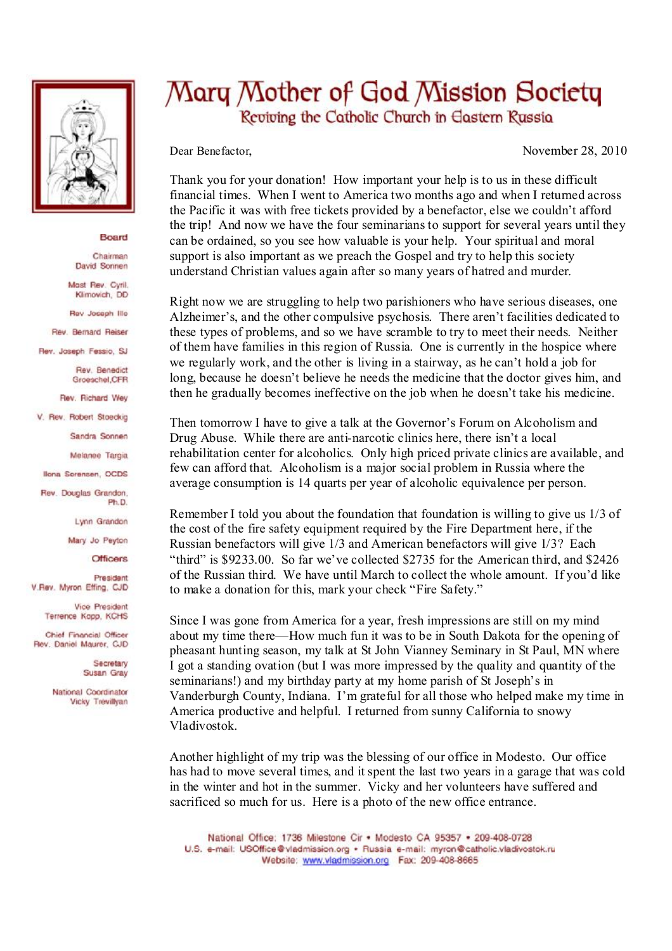

## Board

Chairman David Sonnen

Mast Rev. Cyril. Klimovich, DD

Rev Joseph Illo

Rev. Bernard Reiser

Rev. Joseph Fessio, SJ

Rev. Benedict Groeschel, CFR

Rev. Richard Wey

V. Rev. Robert Stoeckig

Sandra Sonnen

Melanee Taroia

**Ilona Sorensen, OCDS** 

Rev. Douglas Grandon. Ph.D.

Lynn Grandon

Mary Jo Peyton

**Officers** 

President V.Rev. Myron Effing, CJD

> Vice President Terrence Kopp, KCHS

Chief Financial Officer Rev. Daniel Maurer, CJD

> Secretary Susan Gray

National Coordinator Vicky Trevillyan

## Mary Mother of God Mission Society Reviving the Catholic Church in Eastern Russia

Dear Benefactor, November 28, 2010

Thank you for your donation! How important your help is to us in these difficult financial times. When I went to America two months ago and when I returned across the Pacific it was with free tickets provided by a benefactor, else we couldn't afford the trip! And now we have the four seminariansto support for several years until they can be ordained, so you see how valuable is your help. Your spiritual and moral support is also important as we preach the Gospel and try to help this society understand Christian values again after so many years of hatred and murder.

Right now we are struggling to help two parishioners who have serious diseases, one Alzheimer's, and the other compulsive psychosis. There aren't facilities dedicated to these types of problems, and so we have scramble to try to meet their needs. Neither of them have families in this region of Russia. One is currently in the hospice where we regularly work, and the other is living in a stairway, as he can't hold a job for long, because he doesn't believe he needs the medicine that the doctor gives him, and then he gradually becomes ineffective on the job when he doesn't take his medicine.

Then tomorrow I have to give a talk at the Governor's Forum on Alcoholism and Drug Abuse. While there are anti-narcotic clinics here, there isn't a local rehabilitation center for alcoholics. Only high priced private clinics are available, and few can afford that. Alcoholism is a major social problem in Russia where the average consumption is 14 quarts per year of alcoholic equivalence per person.

Remember I told you about the foundation that foundation is willing to give us 1/3 of the cost of the fire safety equipment required by the Fire Department here, if the Russian benefactors will give 1/3 and American benefactors will give 1/3? Each "third" is \$9233.00. So far we've collected \$2735 for the American third, and \$2426 of the Russian third. We have until March to collect the whole amount. If you'd like to make a donation for this, mark your check "Fire Safety."

Since I was gone from America for a year, fresh impressions are still on my mind about my time there—How much fun it was to be in South Dakota for the opening of pheasant hunting season, my talk at St John Vianney Seminary in St Paul, MN where I got a standing ovation (but I was more impressed by the quality and quantity of the seminarians!) and my birthday party at my home parish of St Joseph's in Vanderburgh County, Indiana. I'm grateful for all those who helped make my time in America productive and helpful. I returned from sunny California to snowy Vladivostok.

Another highlight of my trip was the blessing of our office in Modesto. Our office has had to move several times, and it spent the last two years in a garage that was cold in the winter and hot in the summer. Vicky and her volunteers have suffered and sacrificed so much for us. Here is a photo of the new office entrance.

National Office: 1736 Milestone Cir . Modesto CA 95357 . 209-408-0728 U.S. e-mail: USOffice@vladmission.org · Russia e-mail: myron@catholic.vladivostok.ru Website: www.vladmission.org Fax: 209-408-8665